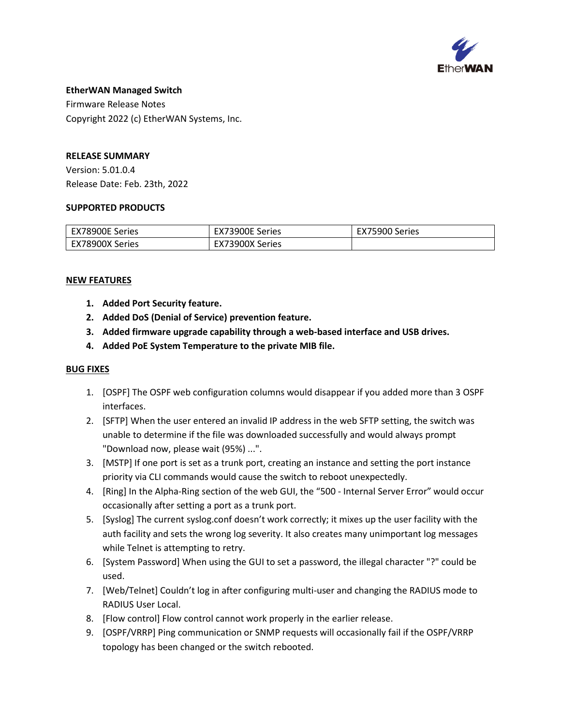

#### **EtherWAN Managed Switch**

Firmware Release Notes Copyright 2022 (c) EtherWAN Systems, Inc.

## **RELEASE SUMMARY**

Version: 5.01.0.4 Release Date: Feb. 23th, 2022

## **SUPPORTED PRODUCTS**

| EX78900E Series | EX73900E Series | EX75900 Series |
|-----------------|-----------------|----------------|
| EX78900X Series | EX73900X Series |                |

## **NEW FEATURES**

- **1. Added Port Security feature.**
- **2. Added DoS (Denial of Service) prevention feature.**
- **3. Added firmware upgrade capability through a web-based interface and USB drives.**
- **4. Added PoE System Temperature to the private MIB file.**

- 1. [OSPF] The OSPF web configuration columns would disappear if you added more than 3 OSPF interfaces.
- 2. [SFTP] When the user entered an invalid IP address in the web SFTP setting, the switch was unable to determine if the file was downloaded successfully and would always prompt "Download now, please wait (95%) ...".
- 3. [MSTP] If one port is set as a trunk port, creating an instance and setting the port instance priority via CLI commands would cause the switch to reboot unexpectedly.
- 4. [Ring] In the Alpha-Ring section of the web GUI, the "500 Internal Server Error" would occur occasionally after setting a port as a trunk port.
- 5. [Syslog] The current syslog.conf doesn't work correctly; it mixes up the user facility with the auth facility and sets the wrong log severity. It also creates many unimportant log messages while Telnet is attempting to retry.
- 6. [System Password] When using the GUI to set a password, the illegal character "?" could be used.
- 7. [Web/Telnet] Couldn't log in after configuring multi-user and changing the RADIUS mode to RADIUS User Local.
- 8. [Flow control] Flow control cannot work properly in the earlier release.
- 9. [OSPF/VRRP] Ping communication or SNMP requests will occasionally fail if the OSPF/VRRP topology has been changed or the switch rebooted.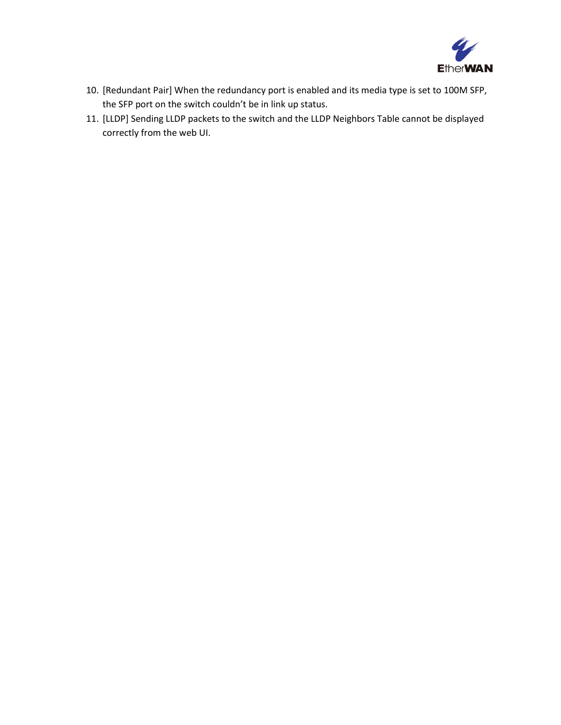

- 10. [Redundant Pair] When the redundancy port is enabled and its media type is set to 100M SFP, the SFP port on the switch couldn't be in link up status.
- 11. [LLDP] Sending LLDP packets to the switch and the LLDP Neighbors Table cannot be displayed correctly from the web UI.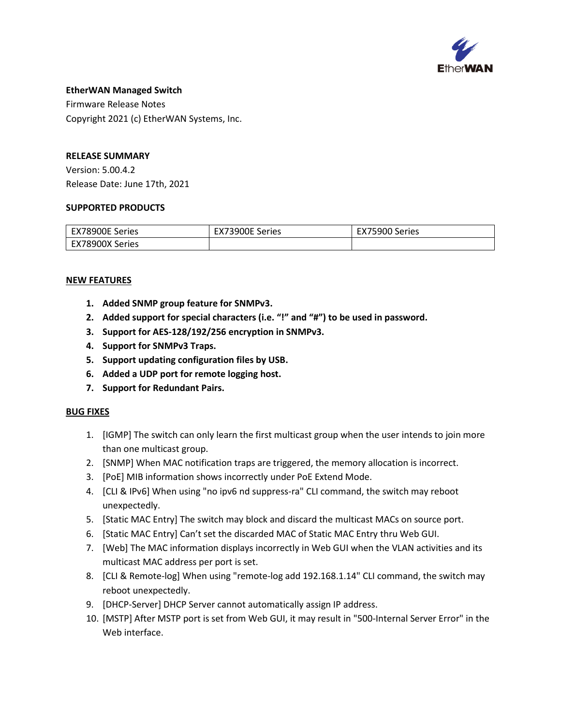

## **EtherWAN Managed Switch**

Firmware Release Notes Copyright 2021 (c) EtherWAN Systems, Inc.

# **RELEASE SUMMARY**

Version: 5.00.4.2 Release Date: June 17th, 2021

#### **SUPPORTED PRODUCTS**

| EX78900E Series | EX73900E Series | EX75900 Series |
|-----------------|-----------------|----------------|
| EX78900X Series |                 |                |

## **NEW FEATURES**

- **1. Added SNMP group feature for SNMPv3.**
- **2. Added support for special characters (i.e. "!" and "#") to be used in password.**
- **3. Support for AES-128/192/256 encryption in SNMPv3.**
- **4. Support for SNMPv3 Traps.**
- **5. Support updating configuration files by USB.**
- **6. Added a UDP port for remote logging host.**
- **7. Support for Redundant Pairs.**

- 1. [IGMP] The switch can only learn the first multicast group when the user intends to join more than one multicast group.
- 2. [SNMP] When MAC notification traps are triggered, the memory allocation is incorrect.
- 3. [PoE] MIB information shows incorrectly under PoE Extend Mode.
- 4. [CLI & IPv6] When using "no ipv6 nd suppress-ra" CLI command, the switch may reboot unexpectedly.
- 5. [Static MAC Entry] The switch may block and discard the multicast MACs on source port.
- 6. [Static MAC Entry] Can't set the discarded MAC of Static MAC Entry thru Web GUI.
- 7. [Web] The MAC information displays incorrectly in Web GUI when the VLAN activities and its multicast MAC address per port is set.
- 8. [CLI & Remote-log] When using "remote-log add 192.168.1.14" CLI command, the switch may reboot unexpectedly.
- 9. [DHCP-Server] DHCP Server cannot automatically assign IP address.
- 10. [MSTP] After MSTP port is set from Web GUI, it may result in "500-Internal Server Error" in the Web interface.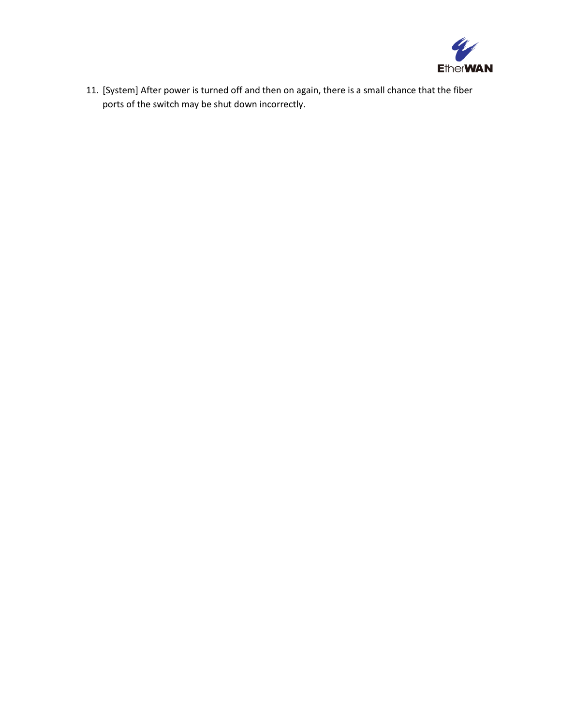

11. [System] After power is turned off and then on again, there is a small chance that the fiber ports of the switch may be shut down incorrectly.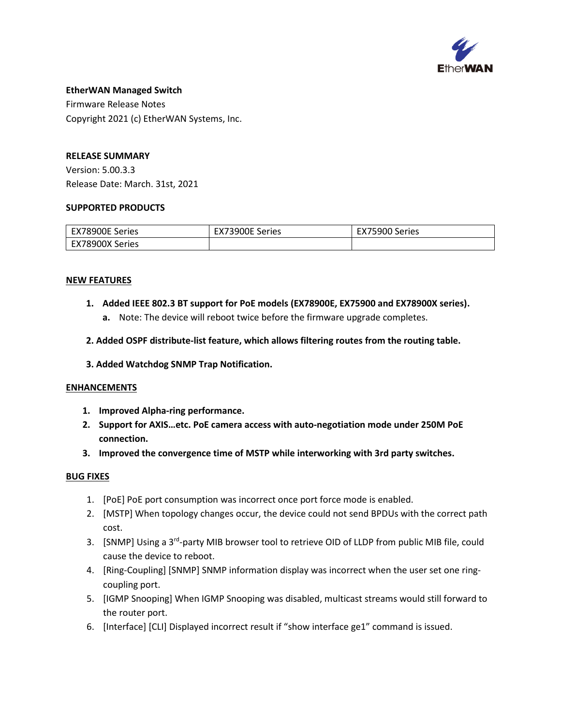

#### **EtherWAN Managed Switch**

Firmware Release Notes Copyright 2021 (c) EtherWAN Systems, Inc.

# **RELEASE SUMMARY**

Version: 5.00.3.3 Release Date: March. 31st, 2021

## **SUPPORTED PRODUCTS**

| EX78900E Series | EX73900E Series | :75900 Series<br>EX / |
|-----------------|-----------------|-----------------------|
| EX78900X Series |                 |                       |

#### **NEW FEATURES**

- **1. Added IEEE 802.3 BT support for PoE models (EX78900E, EX75900 and EX78900X series).**
	- **a.** Note: The device will reboot twice before the firmware upgrade completes.
- **2. Added OSPF distribute-list feature, which allows filtering routes from the routing table.**
- **3. Added Watchdog SNMP Trap Notification.**

#### **ENHANCEMENTS**

- **1. Improved Alpha-ring performance.**
- **2. Support for AXIS…etc. PoE camera access with auto-negotiation mode under 250M PoE connection.**
- **3. Improved the convergence time of MSTP while interworking with 3rd party switches.**

- 1. [PoE] PoE port consumption was incorrect once port force mode is enabled.
- 2. [MSTP] When topology changes occur, the device could not send BPDUs with the correct path cost.
- 3. [SNMP] Using a 3<sup>rd</sup>-party MIB browser tool to retrieve OID of LLDP from public MIB file, could cause the device to reboot.
- 4. [Ring-Coupling] [SNMP] SNMP information display was incorrect when the user set one ringcoupling port.
- 5. [IGMP Snooping] When IGMP Snooping was disabled, multicast streams would still forward to the router port.
- 6. [Interface] [CLI] Displayed incorrect result if "show interface ge1" command is issued.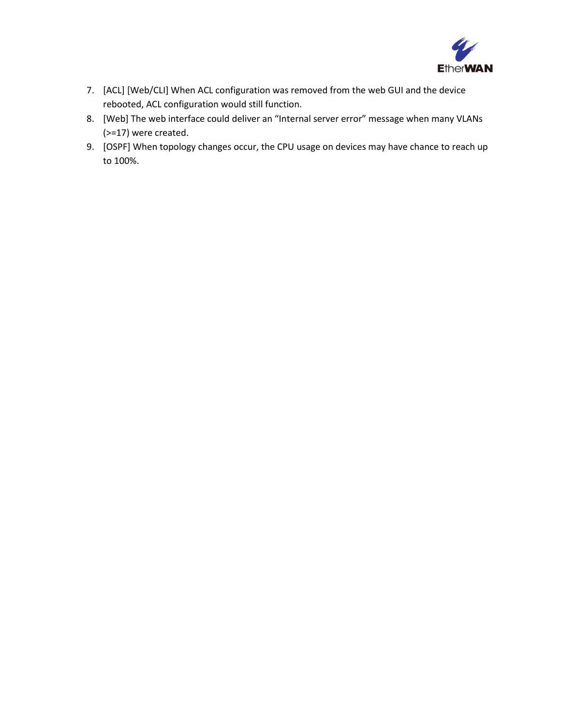

- 7. [ACL] [Web/CLI] When ACL configuration was removed from the web GUI and the device rebooted, ACL configuration would still function.
- 8. [Web] The web interface could deliver an "Internal server error" message when many VLANs (>=17) were created.
- 9. [OSPF] When topology changes occur, the CPU usage on devices may have chance to reach up to 100%.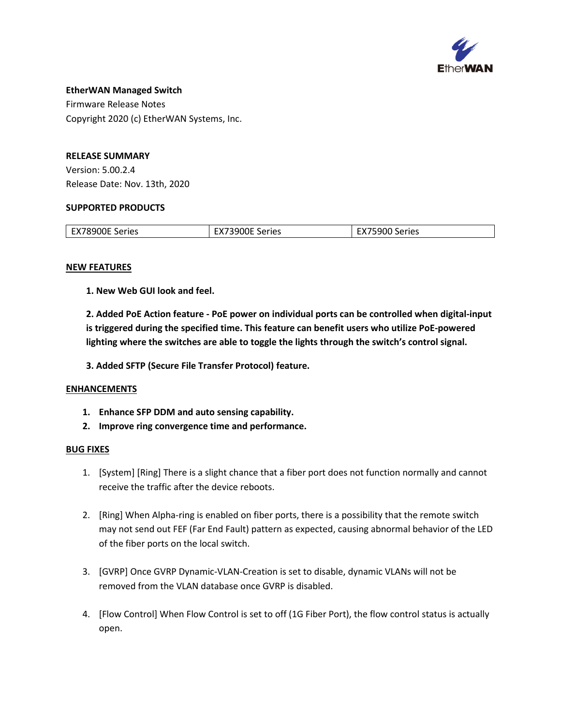

# **EtherWAN Managed Switch**  Firmware Release Notes

Copyright 2020 (c) EtherWAN Systems, Inc.

# **RELEASE SUMMARY**

Version: 5.00.2.4 Release Date: Nov. 13th, 2020

# **SUPPORTED PRODUCTS**

| <b>EX78900E Series</b> | <b>ANDRE Series</b><br>$\mathbf{A}$ | TE900 Series |
|------------------------|-------------------------------------|--------------|
|                        |                                     |              |

## **NEW FEATURES**

**1. New Web GUI look and feel.**

**2. Added PoE Action feature - PoE power on individual ports can be controlled when digital-input is triggered during the specified time. This feature can benefit users who utilize PoE-powered lighting where the switches are able to toggle the lights through the switch's control signal.**

**3. Added SFTP (Secure File Transfer Protocol) feature.**

# **ENHANCEMENTS**

- **1. Enhance SFP DDM and auto sensing capability.**
- **2. Improve ring convergence time and performance.**

- 1. [System] [Ring] There is a slight chance that a fiber port does not function normally and cannot receive the traffic after the device reboots.
- 2. [Ring] When Alpha-ring is enabled on fiber ports, there is a possibility that the remote switch may not send out FEF (Far End Fault) pattern as expected, causing abnormal behavior of the LED of the fiber ports on the local switch.
- 3. [GVRP] Once GVRP Dynamic-VLAN-Creation is set to disable, dynamic VLANs will not be removed from the VLAN database once GVRP is disabled.
- 4. [Flow Control] When Flow Control is set to off (1G Fiber Port), the flow control status is actually open.